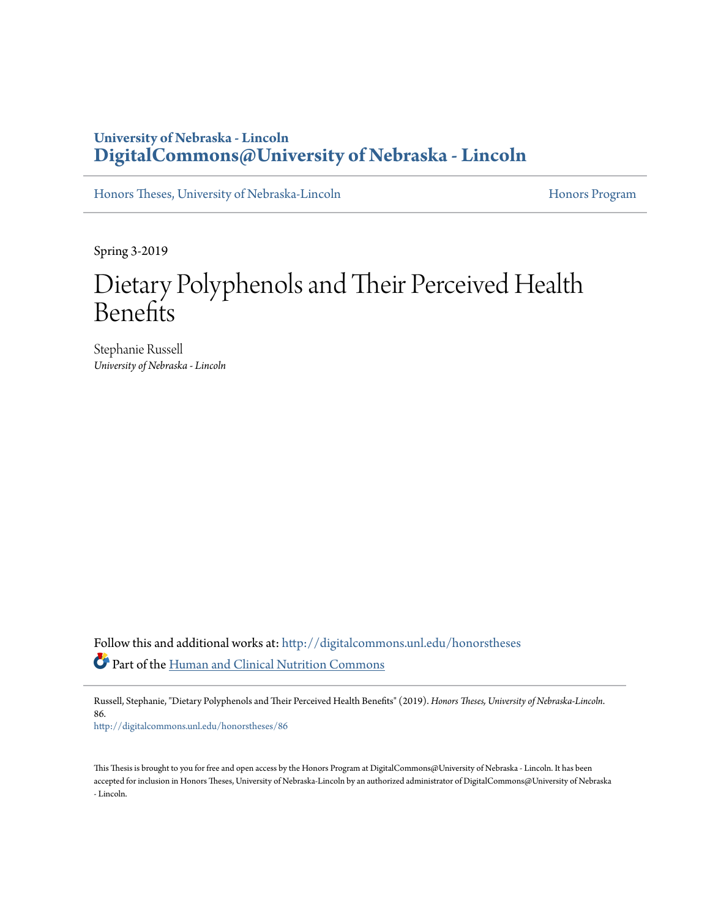### **University of Nebraska - Lincoln [DigitalCommons@University of Nebraska - Lincoln](http://digitalcommons.unl.edu?utm_source=digitalcommons.unl.edu%2Fhonorstheses%2F86&utm_medium=PDF&utm_campaign=PDFCoverPages)**

[Honors Theses, University of Nebraska-Lincoln](http://digitalcommons.unl.edu/honorstheses?utm_source=digitalcommons.unl.edu%2Fhonorstheses%2F86&utm_medium=PDF&utm_campaign=PDFCoverPages) [Honors Program](http://digitalcommons.unl.edu/honorsprogram?utm_source=digitalcommons.unl.edu%2Fhonorstheses%2F86&utm_medium=PDF&utm_campaign=PDFCoverPages) Honors Program

Spring 3-2019

# Dietary Polyphenols and Their Perceived Health **Benefits**

Stephanie Russell *University of Nebraska - Lincoln*

Follow this and additional works at: [http://digitalcommons.unl.edu/honorstheses](http://digitalcommons.unl.edu/honorstheses?utm_source=digitalcommons.unl.edu%2Fhonorstheses%2F86&utm_medium=PDF&utm_campaign=PDFCoverPages) Part of the [Human and Clinical Nutrition Commons](http://network.bepress.com/hgg/discipline/97?utm_source=digitalcommons.unl.edu%2Fhonorstheses%2F86&utm_medium=PDF&utm_campaign=PDFCoverPages)

Russell, Stephanie, "Dietary Polyphenols and Their Perceived Health Benefits" (2019). *Honors Theses, University of Nebraska-Lincoln*. 86.

[http://digitalcommons.unl.edu/honorstheses/86](http://digitalcommons.unl.edu/honorstheses/86?utm_source=digitalcommons.unl.edu%2Fhonorstheses%2F86&utm_medium=PDF&utm_campaign=PDFCoverPages)

This Thesis is brought to you for free and open access by the Honors Program at DigitalCommons@University of Nebraska - Lincoln. It has been accepted for inclusion in Honors Theses, University of Nebraska-Lincoln by an authorized administrator of DigitalCommons@University of Nebraska - Lincoln.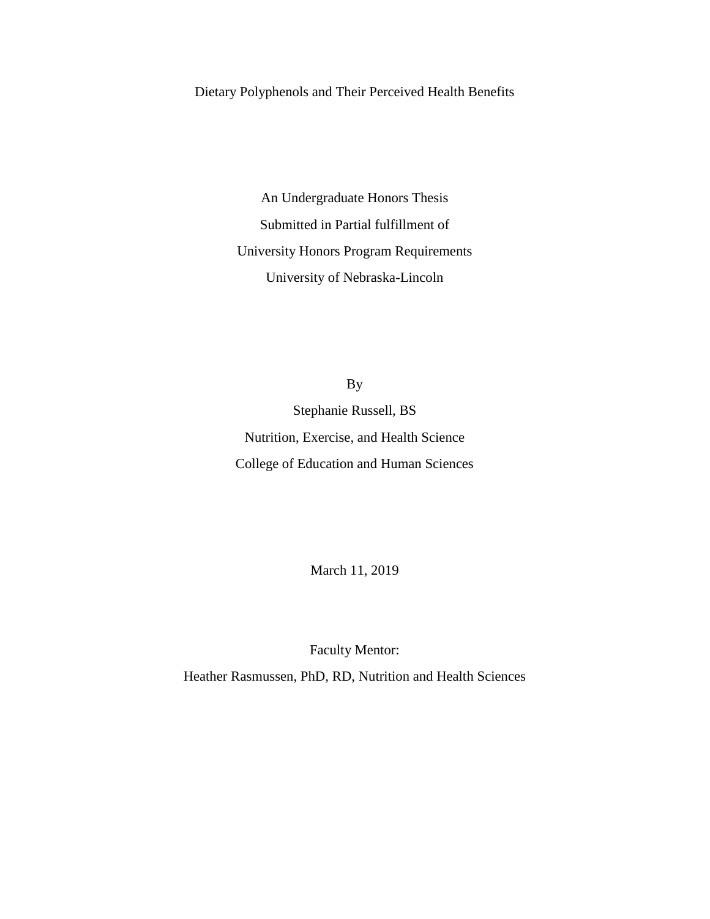Dietary Polyphenols and Their Perceived Health Benefits

An Undergraduate Honors Thesis Submitted in Partial fulfillment of University Honors Program Requirements University of Nebraska-Lincoln

By Stephanie Russell, BS Nutrition, Exercise, and Health Science College of Education and Human Sciences

March 11, 2019

Faculty Mentor:

Heather Rasmussen, PhD, RD, Nutrition and Health Sciences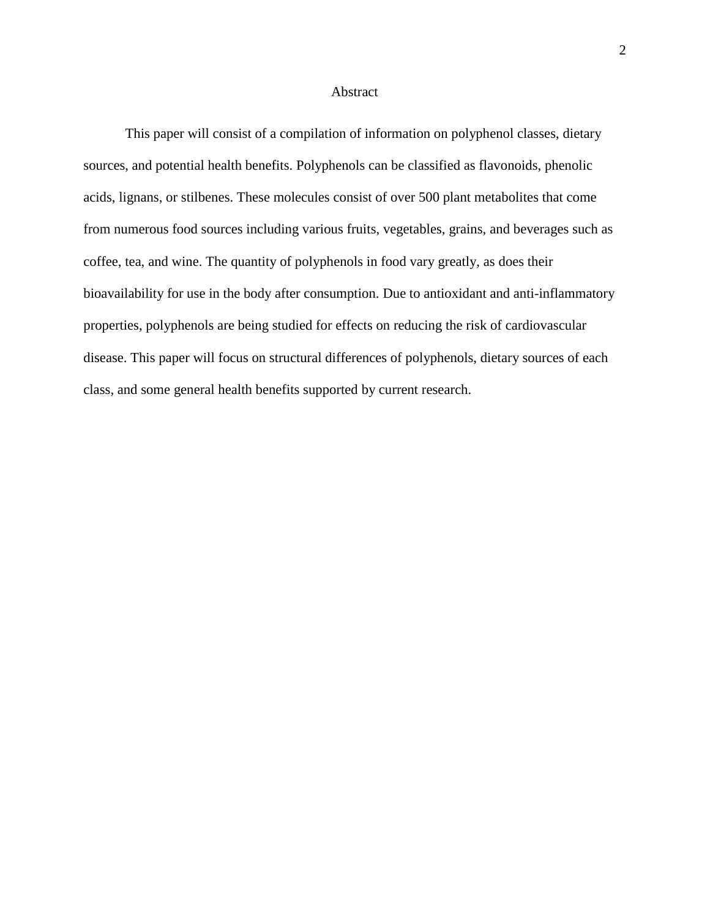#### Abstract

This paper will consist of a compilation of information on polyphenol classes, dietary sources, and potential health benefits. Polyphenols can be classified as flavonoids, phenolic acids, lignans, or stilbenes. These molecules consist of over 500 plant metabolites that come from numerous food sources including various fruits, vegetables, grains, and beverages such as coffee, tea, and wine. The quantity of polyphenols in food vary greatly, as does their bioavailability for use in the body after consumption. Due to antioxidant and anti-inflammatory properties, polyphenols are being studied for effects on reducing the risk of cardiovascular disease. This paper will focus on structural differences of polyphenols, dietary sources of each class, and some general health benefits supported by current research.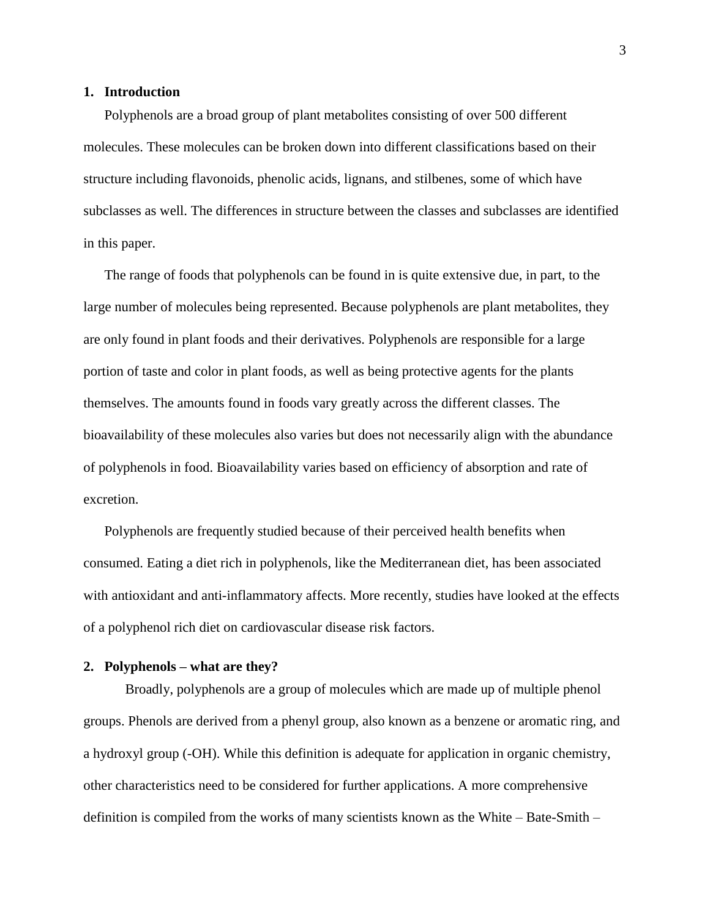#### **1. Introduction**

Polyphenols are a broad group of plant metabolites consisting of over 500 different molecules. These molecules can be broken down into different classifications based on their structure including flavonoids, phenolic acids, lignans, and stilbenes, some of which have subclasses as well. The differences in structure between the classes and subclasses are identified in this paper.

The range of foods that polyphenols can be found in is quite extensive due, in part, to the large number of molecules being represented. Because polyphenols are plant metabolites, they are only found in plant foods and their derivatives. Polyphenols are responsible for a large portion of taste and color in plant foods, as well as being protective agents for the plants themselves. The amounts found in foods vary greatly across the different classes. The bioavailability of these molecules also varies but does not necessarily align with the abundance of polyphenols in food. Bioavailability varies based on efficiency of absorption and rate of excretion.

Polyphenols are frequently studied because of their perceived health benefits when consumed. Eating a diet rich in polyphenols, like the Mediterranean diet, has been associated with antioxidant and anti-inflammatory affects. More recently, studies have looked at the effects of a polyphenol rich diet on cardiovascular disease risk factors.

#### **2. Polyphenols – what are they?**

Broadly, polyphenols are a group of molecules which are made up of multiple phenol groups. Phenols are derived from a phenyl group, also known as a benzene or aromatic ring, and a hydroxyl group (-OH). While this definition is adequate for application in organic chemistry, other characteristics need to be considered for further applications. A more comprehensive definition is compiled from the works of many scientists known as the White – Bate-Smith –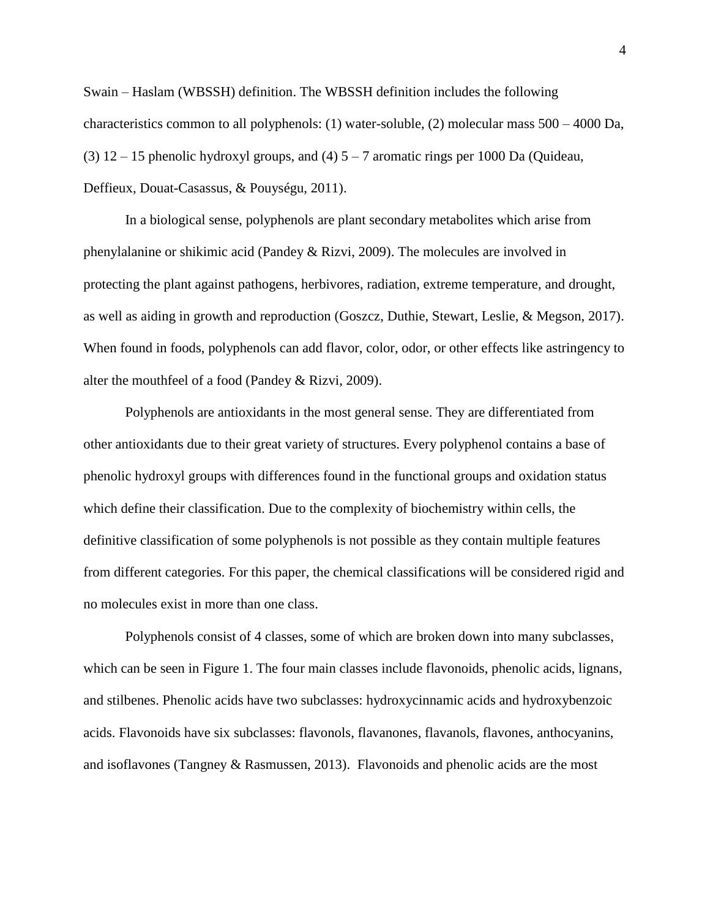Swain – Haslam (WBSSH) definition. The WBSSH definition includes the following characteristics common to all polyphenols: (1) water-soluble, (2) molecular mass 500 – 4000 Da, (3)  $12 - 15$  phenolic hydroxyl groups, and (4)  $5 - 7$  aromatic rings per 1000 Da (Quideau, Deffieux, Douat-Casassus, & Pouységu, 2011).

In a biological sense, polyphenols are plant secondary metabolites which arise from phenylalanine or shikimic acid (Pandey & Rizvi, 2009). The molecules are involved in protecting the plant against pathogens, herbivores, radiation, extreme temperature, and drought, as well as aiding in growth and reproduction (Goszcz, Duthie, Stewart, Leslie, & Megson, 2017). When found in foods, polyphenols can add flavor, color, odor, or other effects like astringency to alter the mouthfeel of a food (Pandey & Rizvi, 2009).

Polyphenols are antioxidants in the most general sense. They are differentiated from other antioxidants due to their great variety of structures. Every polyphenol contains a base of phenolic hydroxyl groups with differences found in the functional groups and oxidation status which define their classification. Due to the complexity of biochemistry within cells, the definitive classification of some polyphenols is not possible as they contain multiple features from different categories. For this paper, the chemical classifications will be considered rigid and no molecules exist in more than one class.

Polyphenols consist of 4 classes, some of which are broken down into many subclasses, which can be seen in Figure 1. The four main classes include flavonoids, phenolic acids, lignans, and stilbenes. Phenolic acids have two subclasses: hydroxycinnamic acids and hydroxybenzoic acids. Flavonoids have six subclasses: flavonols, flavanones, flavanols, flavones, anthocyanins, and isoflavones (Tangney & Rasmussen, 2013). Flavonoids and phenolic acids are the most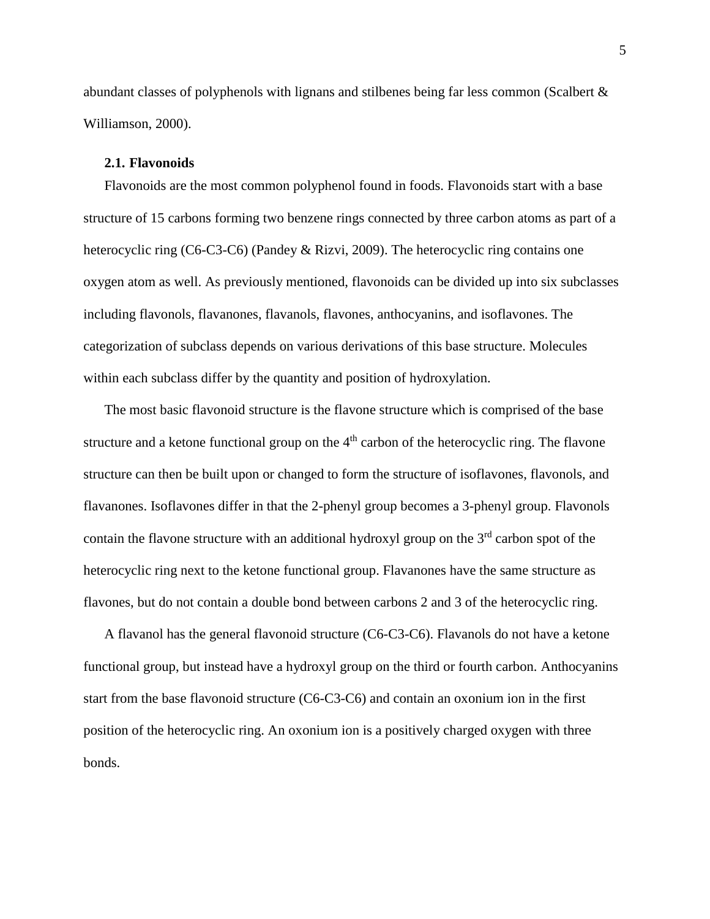abundant classes of polyphenols with lignans and stilbenes being far less common (Scalbert & Williamson, 2000).

#### **2.1. Flavonoids**

Flavonoids are the most common polyphenol found in foods. Flavonoids start with a base structure of 15 carbons forming two benzene rings connected by three carbon atoms as part of a heterocyclic ring (C6-C3-C6) (Pandey & Rizvi, 2009). The heterocyclic ring contains one oxygen atom as well. As previously mentioned, flavonoids can be divided up into six subclasses including flavonols, flavanones, flavanols, flavones, anthocyanins, and isoflavones. The categorization of subclass depends on various derivations of this base structure. Molecules within each subclass differ by the quantity and position of hydroxylation.

The most basic flavonoid structure is the flavone structure which is comprised of the base structure and a ketone functional group on the 4<sup>th</sup> carbon of the heterocyclic ring. The flavone structure can then be built upon or changed to form the structure of isoflavones, flavonols, and flavanones. Isoflavones differ in that the 2-phenyl group becomes a 3-phenyl group. Flavonols contain the flavone structure with an additional hydroxyl group on the  $3<sup>rd</sup>$  carbon spot of the heterocyclic ring next to the ketone functional group. Flavanones have the same structure as flavones, but do not contain a double bond between carbons 2 and 3 of the heterocyclic ring.

A flavanol has the general flavonoid structure (C6-C3-C6). Flavanols do not have a ketone functional group, but instead have a hydroxyl group on the third or fourth carbon. Anthocyanins start from the base flavonoid structure (C6-C3-C6) and contain an oxonium ion in the first position of the heterocyclic ring. An oxonium ion is a positively charged oxygen with three bonds.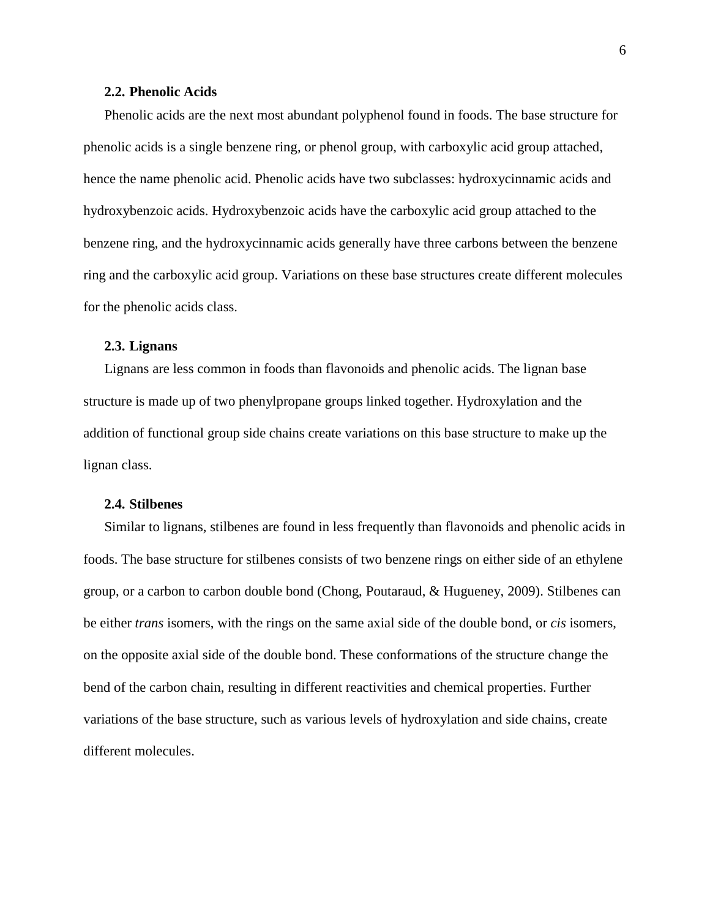#### **2.2. Phenolic Acids**

Phenolic acids are the next most abundant polyphenol found in foods. The base structure for phenolic acids is a single benzene ring, or phenol group, with carboxylic acid group attached, hence the name phenolic acid. Phenolic acids have two subclasses: hydroxycinnamic acids and hydroxybenzoic acids. Hydroxybenzoic acids have the carboxylic acid group attached to the benzene ring, and the hydroxycinnamic acids generally have three carbons between the benzene ring and the carboxylic acid group. Variations on these base structures create different molecules for the phenolic acids class.

#### **2.3. Lignans**

Lignans are less common in foods than flavonoids and phenolic acids. The lignan base structure is made up of two phenylpropane groups linked together. Hydroxylation and the addition of functional group side chains create variations on this base structure to make up the lignan class.

#### **2.4. Stilbenes**

Similar to lignans, stilbenes are found in less frequently than flavonoids and phenolic acids in foods. The base structure for stilbenes consists of two benzene rings on either side of an ethylene group, or a carbon to carbon double bond (Chong, Poutaraud, & Hugueney, 2009). Stilbenes can be either *trans* isomers, with the rings on the same axial side of the double bond, or *cis* isomers, on the opposite axial side of the double bond. These conformations of the structure change the bend of the carbon chain, resulting in different reactivities and chemical properties. Further variations of the base structure, such as various levels of hydroxylation and side chains, create different molecules.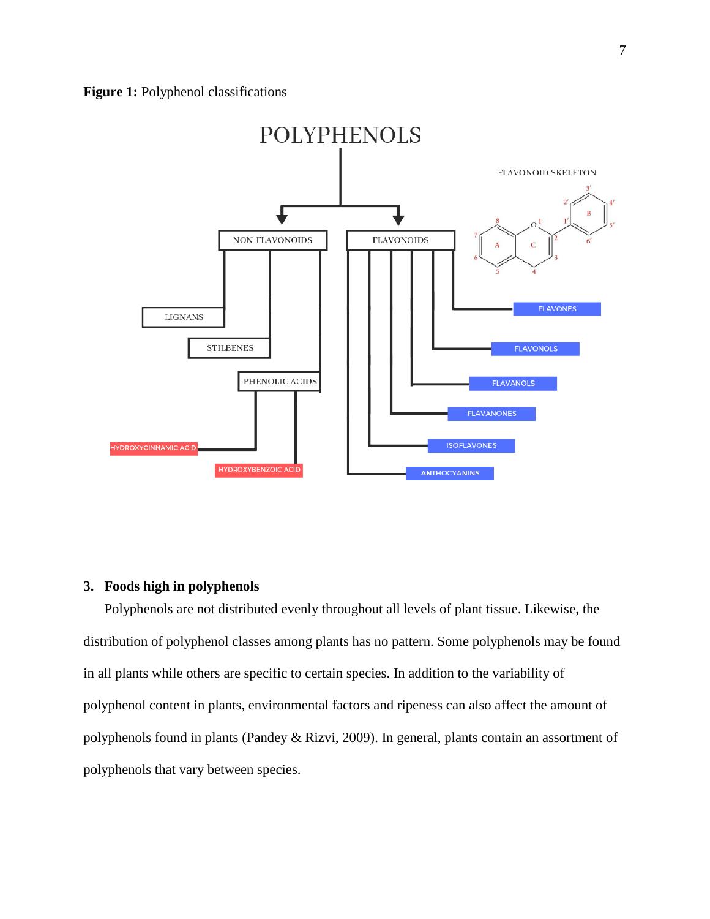

#### **3. Foods high in polyphenols**

Polyphenols are not distributed evenly throughout all levels of plant tissue. Likewise, the distribution of polyphenol classes among plants has no pattern. Some polyphenols may be found in all plants while others are specific to certain species. In addition to the variability of polyphenol content in plants, environmental factors and ripeness can also affect the amount of polyphenols found in plants (Pandey & Rizvi, 2009). In general, plants contain an assortment of polyphenols that vary between species.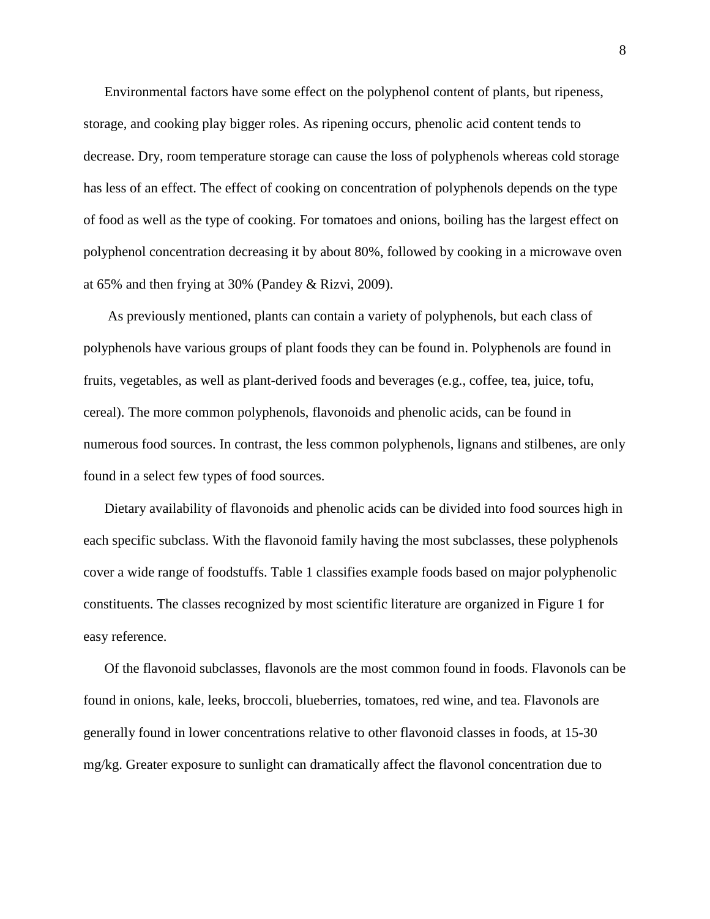Environmental factors have some effect on the polyphenol content of plants, but ripeness, storage, and cooking play bigger roles. As ripening occurs, phenolic acid content tends to decrease. Dry, room temperature storage can cause the loss of polyphenols whereas cold storage has less of an effect. The effect of cooking on concentration of polyphenols depends on the type of food as well as the type of cooking. For tomatoes and onions, boiling has the largest effect on polyphenol concentration decreasing it by about 80%, followed by cooking in a microwave oven at 65% and then frying at 30% (Pandey & Rizvi, 2009).

As previously mentioned, plants can contain a variety of polyphenols, but each class of polyphenols have various groups of plant foods they can be found in. Polyphenols are found in fruits, vegetables, as well as plant-derived foods and beverages (e.g., coffee, tea, juice, tofu, cereal). The more common polyphenols, flavonoids and phenolic acids, can be found in numerous food sources. In contrast, the less common polyphenols, lignans and stilbenes, are only found in a select few types of food sources.

Dietary availability of flavonoids and phenolic acids can be divided into food sources high in each specific subclass. With the flavonoid family having the most subclasses, these polyphenols cover a wide range of foodstuffs. Table 1 classifies example foods based on major polyphenolic constituents. The classes recognized by most scientific literature are organized in Figure 1 for easy reference.

Of the flavonoid subclasses, flavonols are the most common found in foods. Flavonols can be found in onions, kale, leeks, broccoli, blueberries, tomatoes, red wine, and tea. Flavonols are generally found in lower concentrations relative to other flavonoid classes in foods, at 15-30 mg/kg. Greater exposure to sunlight can dramatically affect the flavonol concentration due to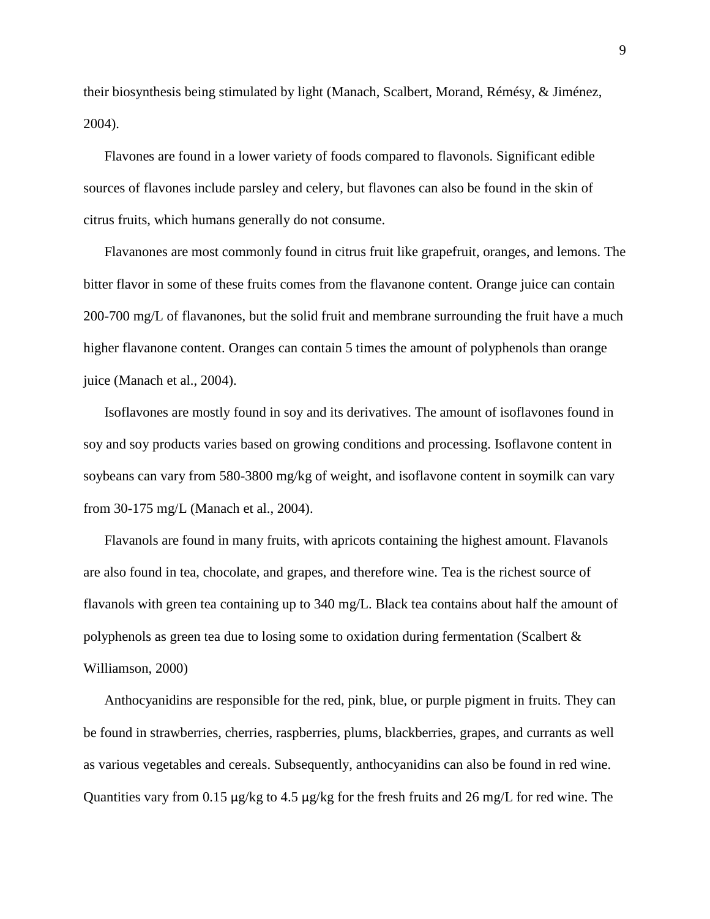their biosynthesis being stimulated by light (Manach, Scalbert, Morand, Rémésy, & Jiménez, 2004).

Flavones are found in a lower variety of foods compared to flavonols. Significant edible sources of flavones include parsley and celery, but flavones can also be found in the skin of citrus fruits, which humans generally do not consume.

Flavanones are most commonly found in citrus fruit like grapefruit, oranges, and lemons. The bitter flavor in some of these fruits comes from the flavanone content. Orange juice can contain 200-700 mg/L of flavanones, but the solid fruit and membrane surrounding the fruit have a much higher flavanone content. Oranges can contain 5 times the amount of polyphenols than orange juice (Manach et al., 2004).

Isoflavones are mostly found in soy and its derivatives. The amount of isoflavones found in soy and soy products varies based on growing conditions and processing. Isoflavone content in soybeans can vary from 580-3800 mg/kg of weight, and isoflavone content in soymilk can vary from 30-175 mg/L (Manach et al., 2004).

Flavanols are found in many fruits, with apricots containing the highest amount. Flavanols are also found in tea, chocolate, and grapes, and therefore wine. Tea is the richest source of flavanols with green tea containing up to 340 mg/L. Black tea contains about half the amount of polyphenols as green tea due to losing some to oxidation during fermentation (Scalbert & Williamson, 2000)

Anthocyanidins are responsible for the red, pink, blue, or purple pigment in fruits. They can be found in strawberries, cherries, raspberries, plums, blackberries, grapes, and currants as well as various vegetables and cereals. Subsequently, anthocyanidins can also be found in red wine. Quantities vary from 0.15 μg/kg to 4.5 μg/kg for the fresh fruits and 26 mg/L for red wine. The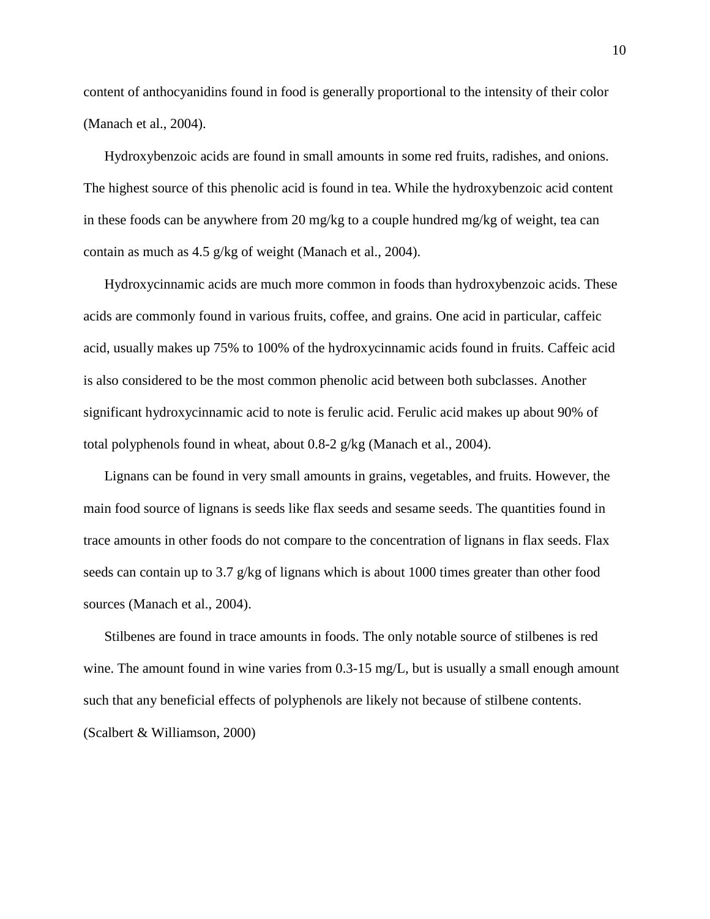content of anthocyanidins found in food is generally proportional to the intensity of their color (Manach et al., 2004).

Hydroxybenzoic acids are found in small amounts in some red fruits, radishes, and onions. The highest source of this phenolic acid is found in tea. While the hydroxybenzoic acid content in these foods can be anywhere from 20 mg/kg to a couple hundred mg/kg of weight, tea can contain as much as 4.5 g/kg of weight (Manach et al., 2004).

Hydroxycinnamic acids are much more common in foods than hydroxybenzoic acids. These acids are commonly found in various fruits, coffee, and grains. One acid in particular, caffeic acid, usually makes up 75% to 100% of the hydroxycinnamic acids found in fruits. Caffeic acid is also considered to be the most common phenolic acid between both subclasses. Another significant hydroxycinnamic acid to note is ferulic acid. Ferulic acid makes up about 90% of total polyphenols found in wheat, about 0.8-2 g/kg (Manach et al., 2004).

Lignans can be found in very small amounts in grains, vegetables, and fruits. However, the main food source of lignans is seeds like flax seeds and sesame seeds. The quantities found in trace amounts in other foods do not compare to the concentration of lignans in flax seeds. Flax seeds can contain up to 3.7  $g/kg$  of lignans which is about 1000 times greater than other food sources (Manach et al., 2004).

Stilbenes are found in trace amounts in foods. The only notable source of stilbenes is red wine. The amount found in wine varies from 0.3-15 mg/L, but is usually a small enough amount such that any beneficial effects of polyphenols are likely not because of stilbene contents. (Scalbert & Williamson, 2000)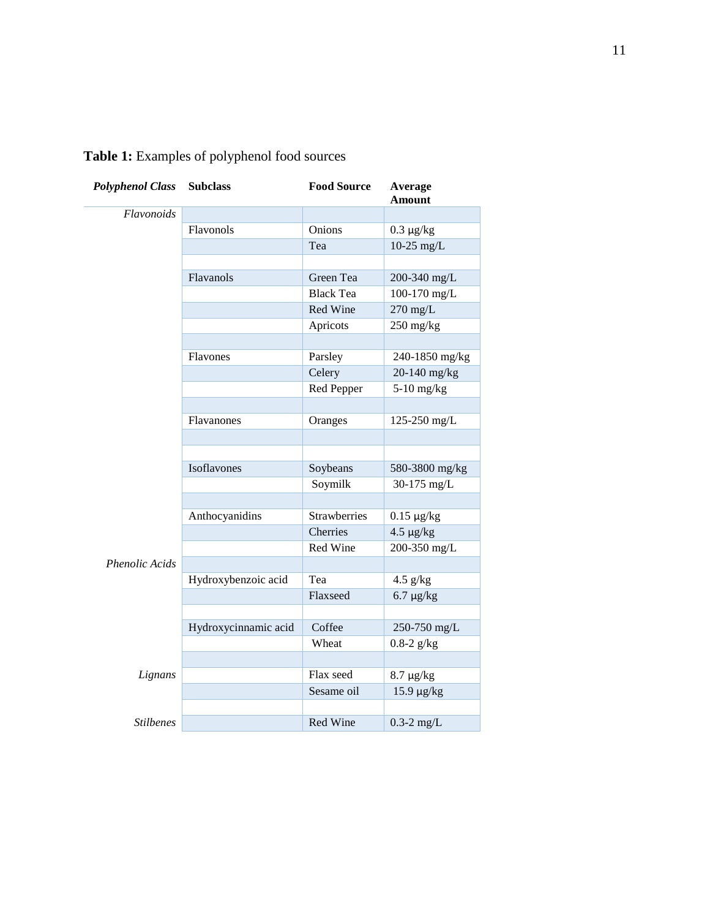| <b>Polyphenol Class</b> | <b>Subclass</b>      | <b>Food Source</b>  | Average<br><b>Amount</b> |
|-------------------------|----------------------|---------------------|--------------------------|
| Flavonoids              |                      |                     |                          |
|                         | Flavonols            | Onions              | $0.3 \ \mu g/kg$         |
|                         |                      | Tea                 | $10-25$ mg/L             |
|                         |                      |                     |                          |
|                         | Flavanols            | Green Tea           | 200-340 mg/L             |
|                         |                      | <b>Black Tea</b>    | 100-170 mg/L             |
|                         |                      | Red Wine            | $270$ mg/L               |
|                         |                      | Apricots            | $250$ mg/kg              |
|                         |                      |                     |                          |
|                         | Flavones             | Parsley             | 240-1850 mg/kg           |
|                         |                      | Celery              | 20-140 mg/kg             |
|                         |                      | Red Pepper          | $5-10$ mg/kg             |
|                         |                      |                     |                          |
|                         | Flavanones           | Oranges             | 125-250 mg/L             |
|                         |                      |                     |                          |
|                         |                      |                     |                          |
|                         | Isoflavones          | Soybeans            | 580-3800 mg/kg           |
|                         |                      | Soymilk             | 30-175 mg/L              |
|                         |                      |                     |                          |
|                         | Anthocyanidins       | <b>Strawberries</b> | $0.15 \mu g/kg$          |
|                         |                      | Cherries            | $4.5 \mu g/kg$           |
|                         |                      | Red Wine            | 200-350 mg/L             |
| <b>Phenolic Acids</b>   |                      |                     |                          |
|                         | Hydroxybenzoic acid  | Tea                 | $4.5$ g/kg               |
|                         |                      | Flaxseed            | $6.7 \ \mu g/kg$         |
|                         |                      |                     |                          |
|                         | Hydroxycinnamic acid | Coffee              | 250-750 mg/L             |
|                         |                      | Wheat               | $0.8 - 2$ g/kg           |
|                         |                      |                     |                          |
| Lignans                 |                      | Flax seed           | $8.7 \mu g/kg$           |
|                         |                      | Sesame oil          | 15.9 µg/kg               |
|                         |                      |                     |                          |
| <b>Stilbenes</b>        |                      | Red Wine            | $0.3-2$ mg/L             |

## **Table 1:** Examples of polyphenol food sources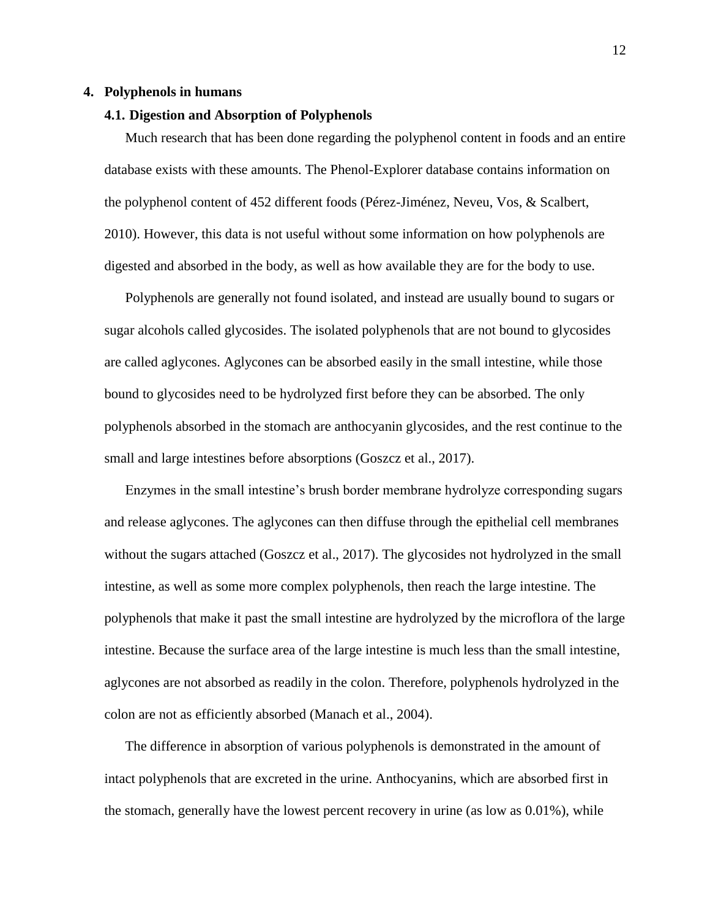#### **4. Polyphenols in humans**

#### **4.1. Digestion and Absorption of Polyphenols**

Much research that has been done regarding the polyphenol content in foods and an entire database exists with these amounts. The Phenol-Explorer database contains information on the polyphenol content of 452 different foods (Pérez-Jiménez, Neveu, Vos, & Scalbert, 2010). However, this data is not useful without some information on how polyphenols are digested and absorbed in the body, as well as how available they are for the body to use.

Polyphenols are generally not found isolated, and instead are usually bound to sugars or sugar alcohols called glycosides. The isolated polyphenols that are not bound to glycosides are called aglycones. Aglycones can be absorbed easily in the small intestine, while those bound to glycosides need to be hydrolyzed first before they can be absorbed. The only polyphenols absorbed in the stomach are anthocyanin glycosides, and the rest continue to the small and large intestines before absorptions (Goszcz et al., 2017).

Enzymes in the small intestine's brush border membrane hydrolyze corresponding sugars and release aglycones. The aglycones can then diffuse through the epithelial cell membranes without the sugars attached (Goszcz et al., 2017). The glycosides not hydrolyzed in the small intestine, as well as some more complex polyphenols, then reach the large intestine. The polyphenols that make it past the small intestine are hydrolyzed by the microflora of the large intestine. Because the surface area of the large intestine is much less than the small intestine, aglycones are not absorbed as readily in the colon. Therefore, polyphenols hydrolyzed in the colon are not as efficiently absorbed (Manach et al., 2004).

The difference in absorption of various polyphenols is demonstrated in the amount of intact polyphenols that are excreted in the urine. Anthocyanins, which are absorbed first in the stomach, generally have the lowest percent recovery in urine (as low as 0.01%), while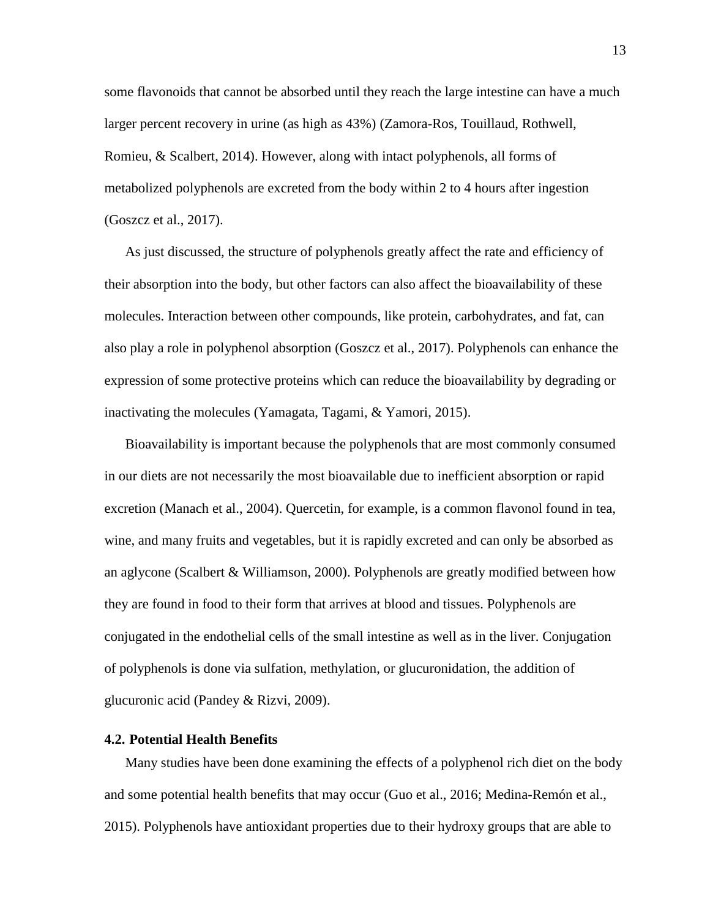some flavonoids that cannot be absorbed until they reach the large intestine can have a much larger percent recovery in urine (as high as 43%) (Zamora-Ros, Touillaud, Rothwell, Romieu, & Scalbert, 2014). However, along with intact polyphenols, all forms of metabolized polyphenols are excreted from the body within 2 to 4 hours after ingestion (Goszcz et al., 2017).

As just discussed, the structure of polyphenols greatly affect the rate and efficiency of their absorption into the body, but other factors can also affect the bioavailability of these molecules. Interaction between other compounds, like protein, carbohydrates, and fat, can also play a role in polyphenol absorption (Goszcz et al., 2017). Polyphenols can enhance the expression of some protective proteins which can reduce the bioavailability by degrading or inactivating the molecules (Yamagata, Tagami, & Yamori, 2015).

Bioavailability is important because the polyphenols that are most commonly consumed in our diets are not necessarily the most bioavailable due to inefficient absorption or rapid excretion (Manach et al., 2004). Quercetin, for example, is a common flavonol found in tea, wine, and many fruits and vegetables, but it is rapidly excreted and can only be absorbed as an aglycone (Scalbert & Williamson, 2000). Polyphenols are greatly modified between how they are found in food to their form that arrives at blood and tissues. Polyphenols are conjugated in the endothelial cells of the small intestine as well as in the liver. Conjugation of polyphenols is done via sulfation, methylation, or glucuronidation, the addition of glucuronic acid (Pandey & Rizvi, 2009).

#### **4.2. Potential Health Benefits**

Many studies have been done examining the effects of a polyphenol rich diet on the body and some potential health benefits that may occur (Guo et al., 2016; Medina-Remón et al., 2015). Polyphenols have antioxidant properties due to their hydroxy groups that are able to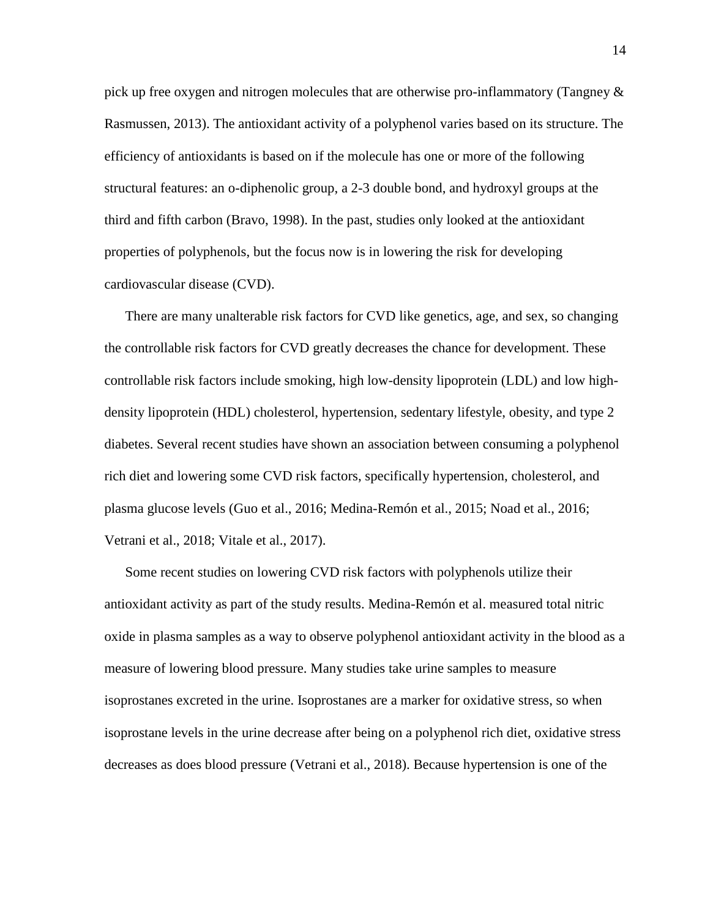pick up free oxygen and nitrogen molecules that are otherwise pro-inflammatory (Tangney & Rasmussen, 2013). The antioxidant activity of a polyphenol varies based on its structure. The efficiency of antioxidants is based on if the molecule has one or more of the following structural features: an o-diphenolic group, a 2-3 double bond, and hydroxyl groups at the third and fifth carbon (Bravo, 1998). In the past, studies only looked at the antioxidant properties of polyphenols, but the focus now is in lowering the risk for developing cardiovascular disease (CVD).

There are many unalterable risk factors for CVD like genetics, age, and sex, so changing the controllable risk factors for CVD greatly decreases the chance for development. These controllable risk factors include smoking, high low-density lipoprotein (LDL) and low highdensity lipoprotein (HDL) cholesterol, hypertension, sedentary lifestyle, obesity, and type 2 diabetes. Several recent studies have shown an association between consuming a polyphenol rich diet and lowering some CVD risk factors, specifically hypertension, cholesterol, and plasma glucose levels (Guo et al., 2016; Medina-Remón et al., 2015; Noad et al., 2016; Vetrani et al., 2018; Vitale et al., 2017).

Some recent studies on lowering CVD risk factors with polyphenols utilize their antioxidant activity as part of the study results. Medina-Remón et al. measured total nitric oxide in plasma samples as a way to observe polyphenol antioxidant activity in the blood as a measure of lowering blood pressure. Many studies take urine samples to measure isoprostanes excreted in the urine. Isoprostanes are a marker for oxidative stress, so when isoprostane levels in the urine decrease after being on a polyphenol rich diet, oxidative stress decreases as does blood pressure (Vetrani et al., 2018). Because hypertension is one of the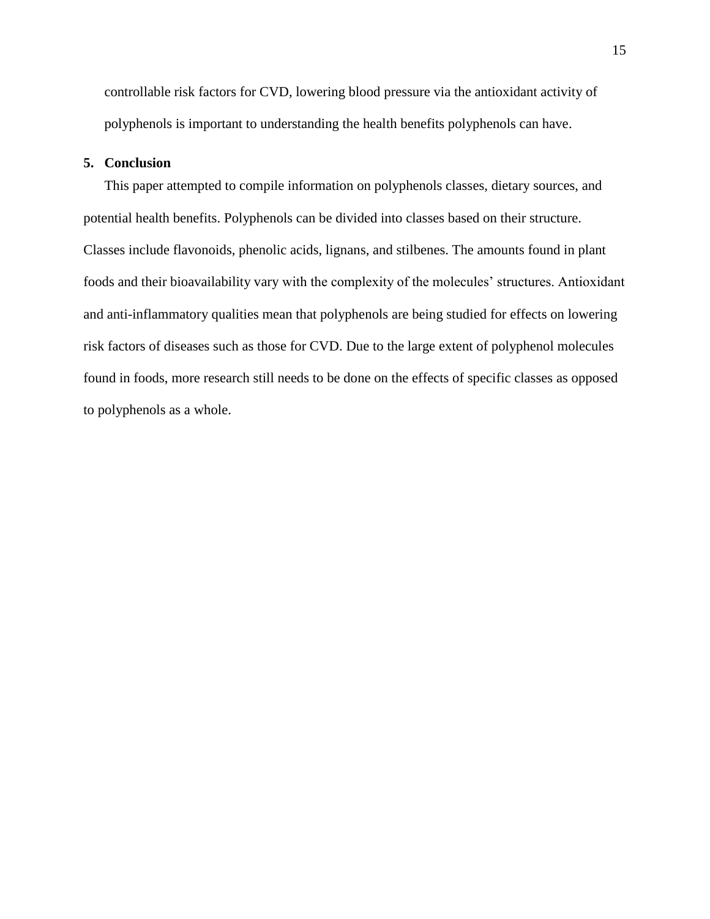controllable risk factors for CVD, lowering blood pressure via the antioxidant activity of polyphenols is important to understanding the health benefits polyphenols can have.

#### **5. Conclusion**

This paper attempted to compile information on polyphenols classes, dietary sources, and potential health benefits. Polyphenols can be divided into classes based on their structure. Classes include flavonoids, phenolic acids, lignans, and stilbenes. The amounts found in plant foods and their bioavailability vary with the complexity of the molecules' structures. Antioxidant and anti-inflammatory qualities mean that polyphenols are being studied for effects on lowering risk factors of diseases such as those for CVD. Due to the large extent of polyphenol molecules found in foods, more research still needs to be done on the effects of specific classes as opposed to polyphenols as a whole.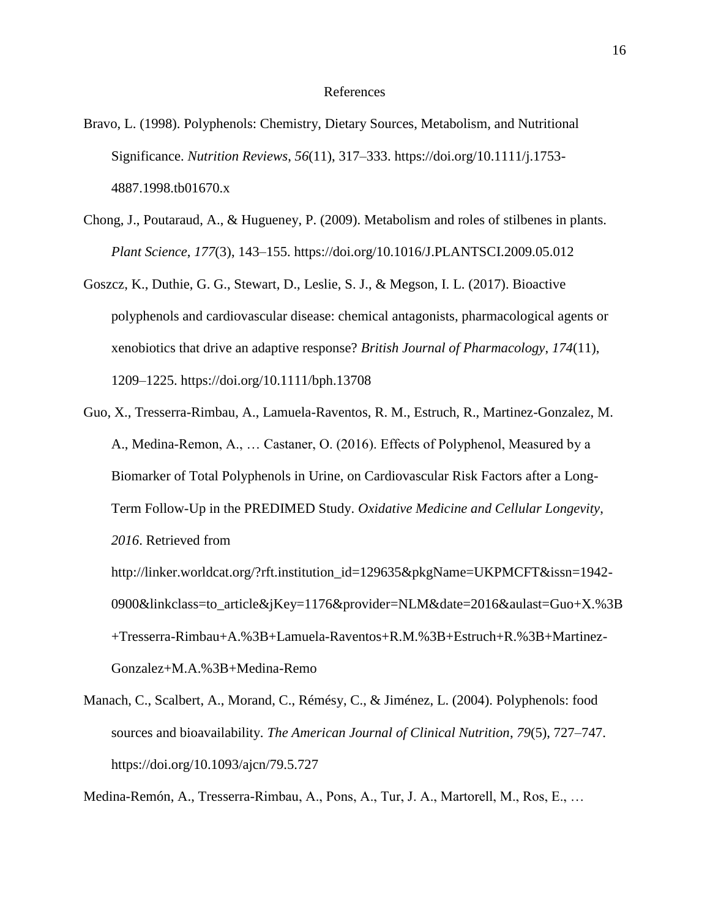#### References

- Bravo, L. (1998). Polyphenols: Chemistry, Dietary Sources, Metabolism, and Nutritional Significance. *Nutrition Reviews*, *56*(11), 317–333. https://doi.org/10.1111/j.1753- 4887.1998.tb01670.x
- Chong, J., Poutaraud, A., & Hugueney, P. (2009). Metabolism and roles of stilbenes in plants. *Plant Science*, *177*(3), 143–155. https://doi.org/10.1016/J.PLANTSCI.2009.05.012
- Goszcz, K., Duthie, G. G., Stewart, D., Leslie, S. J., & Megson, I. L. (2017). Bioactive polyphenols and cardiovascular disease: chemical antagonists, pharmacological agents or xenobiotics that drive an adaptive response? *British Journal of Pharmacology*, *174*(11), 1209–1225. https://doi.org/10.1111/bph.13708
- Guo, X., Tresserra-Rimbau, A., Lamuela-Raventos, R. M., Estruch, R., Martinez-Gonzalez, M. A., Medina-Remon, A., … Castaner, O. (2016). Effects of Polyphenol, Measured by a Biomarker of Total Polyphenols in Urine, on Cardiovascular Risk Factors after a Long-Term Follow-Up in the PREDIMED Study. *Oxidative Medicine and Cellular Longevity*, *2016*. Retrieved from

http://linker.worldcat.org/?rft.institution\_id=129635&pkgName=UKPMCFT&issn=1942- 0900&linkclass=to\_article&jKey=1176&provider=NLM&date=2016&aulast=Guo+X.%3B +Tresserra-Rimbau+A.%3B+Lamuela-Raventos+R.M.%3B+Estruch+R.%3B+Martinez-Gonzalez+M.A.%3B+Medina-Remo

Manach, C., Scalbert, A., Morand, C., Rémésy, C., & Jiménez, L. (2004). Polyphenols: food sources and bioavailability. *The American Journal of Clinical Nutrition*, *79*(5), 727–747. https://doi.org/10.1093/ajcn/79.5.727

Medina-Remón, A., Tresserra-Rimbau, A., Pons, A., Tur, J. A., Martorell, M., Ros, E., …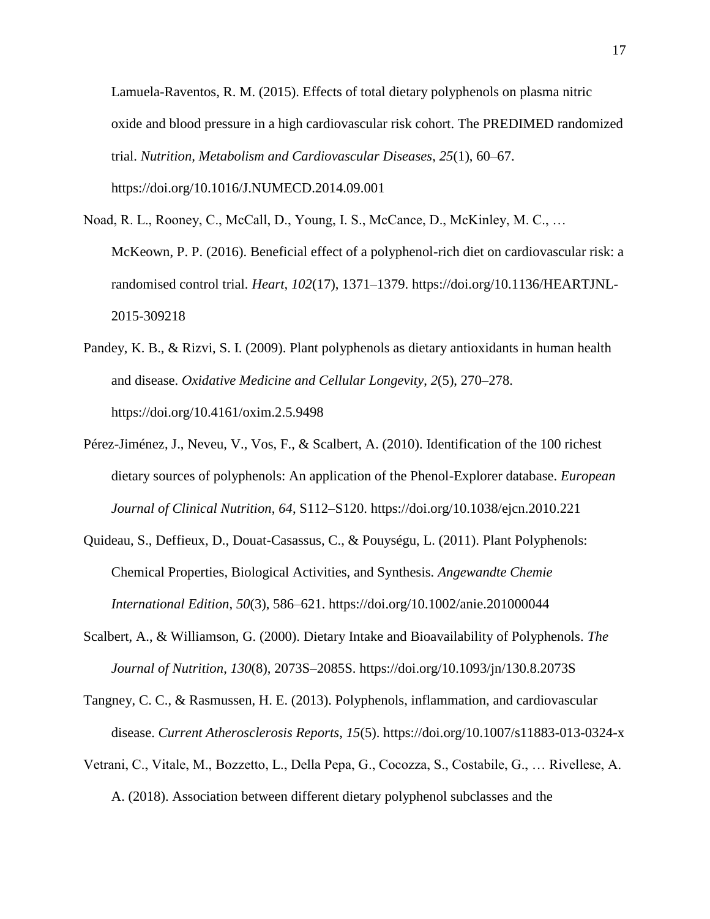Lamuela-Raventos, R. M. (2015). Effects of total dietary polyphenols on plasma nitric oxide and blood pressure in a high cardiovascular risk cohort. The PREDIMED randomized trial. *Nutrition, Metabolism and Cardiovascular Diseases*, *25*(1), 60–67. https://doi.org/10.1016/J.NUMECD.2014.09.001

- Noad, R. L., Rooney, C., McCall, D., Young, I. S., McCance, D., McKinley, M. C., … McKeown, P. P. (2016). Beneficial effect of a polyphenol-rich diet on cardiovascular risk: a randomised control trial. *Heart*, *102*(17), 1371–1379. https://doi.org/10.1136/HEARTJNL-2015-309218
- Pandey, K. B., & Rizvi, S. I. (2009). Plant polyphenols as dietary antioxidants in human health and disease. *Oxidative Medicine and Cellular Longevity*, *2*(5), 270–278. https://doi.org/10.4161/oxim.2.5.9498
- Pérez-Jiménez, J., Neveu, V., Vos, F., & Scalbert, A. (2010). Identification of the 100 richest dietary sources of polyphenols: An application of the Phenol-Explorer database. *European Journal of Clinical Nutrition*, *64*, S112–S120. https://doi.org/10.1038/ejcn.2010.221
- Quideau, S., Deffieux, D., Douat-Casassus, C., & Pouységu, L. (2011). Plant Polyphenols: Chemical Properties, Biological Activities, and Synthesis. *Angewandte Chemie International Edition*, *50*(3), 586–621. https://doi.org/10.1002/anie.201000044
- Scalbert, A., & Williamson, G. (2000). Dietary Intake and Bioavailability of Polyphenols. *The Journal of Nutrition*, *130*(8), 2073S–2085S. https://doi.org/10.1093/jn/130.8.2073S
- Tangney, C. C., & Rasmussen, H. E. (2013). Polyphenols, inflammation, and cardiovascular disease. *Current Atherosclerosis Reports*, *15*(5). https://doi.org/10.1007/s11883-013-0324-x
- Vetrani, C., Vitale, M., Bozzetto, L., Della Pepa, G., Cocozza, S., Costabile, G., … Rivellese, A. A. (2018). Association between different dietary polyphenol subclasses and the